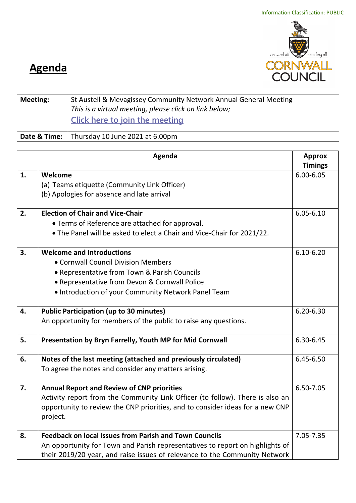

## **Agenda**

| <b>Meeting:</b> | St Austell & Mevagissey Community Network Annual General Meeting<br>This is a virtual meeting, please click on link below;<br><b>Click here to join the meeting</b> |  |
|-----------------|---------------------------------------------------------------------------------------------------------------------------------------------------------------------|--|
|                 | <b>Date &amp; Time:</b> Thursday 10 June 2021 at 6.00pm                                                                                                             |  |

|    | Agenda                                                                        |                |  |
|----|-------------------------------------------------------------------------------|----------------|--|
|    |                                                                               | <b>Timings</b> |  |
| 1. | Welcome                                                                       | $6.00 - 6.05$  |  |
|    | (a) Teams etiquette (Community Link Officer)                                  |                |  |
|    | (b) Apologies for absence and late arrival                                    |                |  |
|    |                                                                               |                |  |
| 2. | <b>Election of Chair and Vice-Chair</b>                                       | $6.05 - 6.10$  |  |
|    | • Terms of Reference are attached for approval.                               |                |  |
|    | . The Panel will be asked to elect a Chair and Vice-Chair for 2021/22.        |                |  |
| 3. | <b>Welcome and Introductions</b>                                              | $6.10 - 6.20$  |  |
|    | • Cornwall Council Division Members                                           |                |  |
|    | • Representative from Town & Parish Councils                                  |                |  |
|    | • Representative from Devon & Cornwall Police                                 |                |  |
|    | . Introduction of your Community Network Panel Team                           |                |  |
|    |                                                                               |                |  |
| 4. | <b>Public Participation (up to 30 minutes)</b>                                | $6.20 - 6.30$  |  |
|    | An opportunity for members of the public to raise any questions.              |                |  |
| 5. | Presentation by Bryn Farrelly, Youth MP for Mid Cornwall                      | 6.30-6.45      |  |
| 6. | Notes of the last meeting (attached and previously circulated)                | 6.45-6.50      |  |
|    | To agree the notes and consider any matters arising.                          |                |  |
|    |                                                                               |                |  |
| 7. | <b>Annual Report and Review of CNP priorities</b>                             | 6.50-7.05      |  |
|    | Activity report from the Community Link Officer (to follow). There is also an |                |  |
|    | opportunity to review the CNP priorities, and to consider ideas for a new CNP |                |  |
|    | project.                                                                      |                |  |
|    |                                                                               |                |  |
| 8. | <b>Feedback on local issues from Parish and Town Councils</b>                 | 7.05-7.35      |  |
|    | An opportunity for Town and Parish representatives to report on highlights of |                |  |
|    | their 2019/20 year, and raise issues of relevance to the Community Network    |                |  |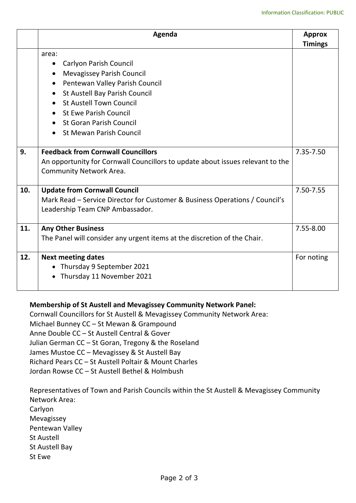|     | Agenda                                                                                                                                                                                                                                                                                    | <b>Approx</b><br><b>Timings</b> |
|-----|-------------------------------------------------------------------------------------------------------------------------------------------------------------------------------------------------------------------------------------------------------------------------------------------|---------------------------------|
|     | area:<br><b>Carlyon Parish Council</b><br>$\bullet$<br><b>Mevagissey Parish Council</b><br>Pentewan Valley Parish Council<br>St Austell Bay Parish Council<br><b>St Austell Town Council</b><br>St Ewe Parish Council<br><b>St Goran Parish Council</b><br><b>St Mewan Parish Council</b> |                                 |
| 9.  | <b>Feedback from Cornwall Councillors</b><br>An opportunity for Cornwall Councillors to update about issues relevant to the<br>Community Network Area.                                                                                                                                    | 7.35-7.50                       |
| 10. | <b>Update from Cornwall Council</b><br>Mark Read – Service Director for Customer & Business Operations / Council's<br>Leadership Team CNP Ambassador.                                                                                                                                     |                                 |
| 11. | <b>Any Other Business</b><br>The Panel will consider any urgent items at the discretion of the Chair.                                                                                                                                                                                     | 7.55-8.00                       |
| 12. | <b>Next meeting dates</b><br>Thursday 9 September 2021<br>Thursday 11 November 2021                                                                                                                                                                                                       | For noting                      |

## **Membership of St Austell and Mevagissey Community Network Panel:**

Cornwall Councillors for St Austell & Mevagissey Community Network Area: Michael Bunney CC – St Mewan & Grampound Anne Double CC – St Austell Central & Gover Julian German CC – St Goran, Tregony & the Roseland James Mustoe CC – Mevagissey & St Austell Bay Richard Pears CC – St Austell Poltair & Mount Charles Jordan Rowse CC – St Austell Bethel & Holmbush

Representatives of Town and Parish Councils within the St Austell & Mevagissey Community Network Area: Carlyon Mevagissey Pentewan Valley St Austell St Austell Bay St Ewe